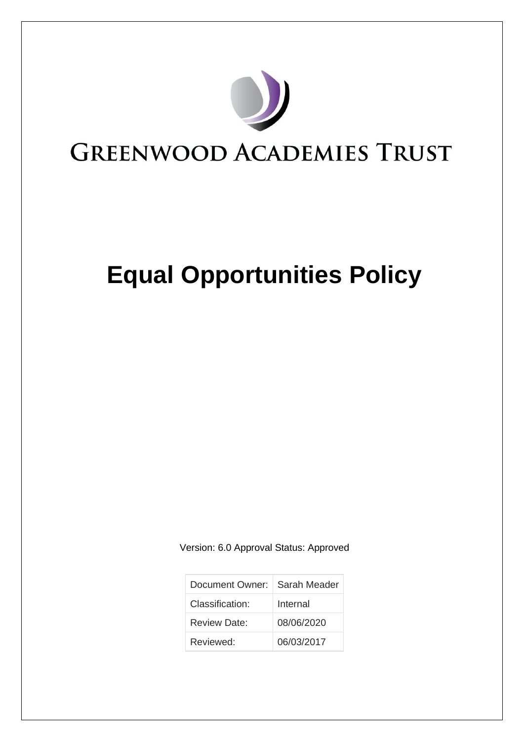

# **Equal Opportunities Policy**

Version: 6.0 Approval Status: Approved

| Document Owner:   Sarah Meader |            |
|--------------------------------|------------|
| Classification:                | Internal   |
| Review Date:                   | 08/06/2020 |
| Reviewed:                      | 06/03/2017 |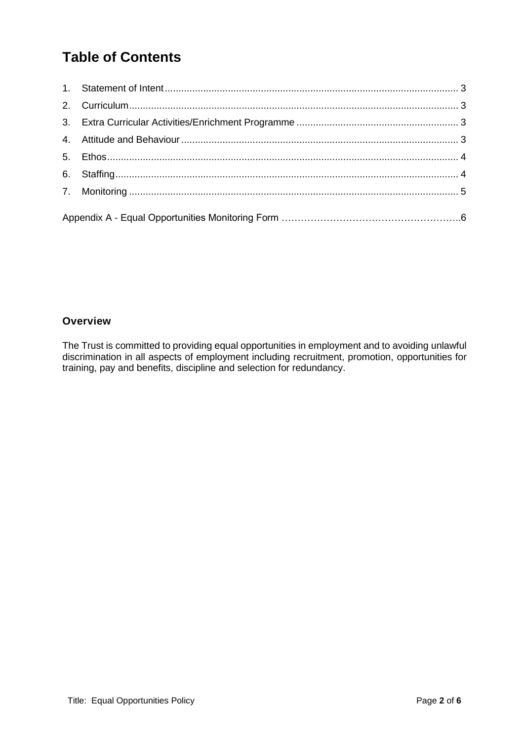# **Table of Contents**

## **Overview**

The Trust is committed to providing equal opportunities in employment and to avoiding unlawful discrimination in all aspects of employment including recruitment, promotion, opportunities for training, pay and benefits, discipline and selection for redundancy.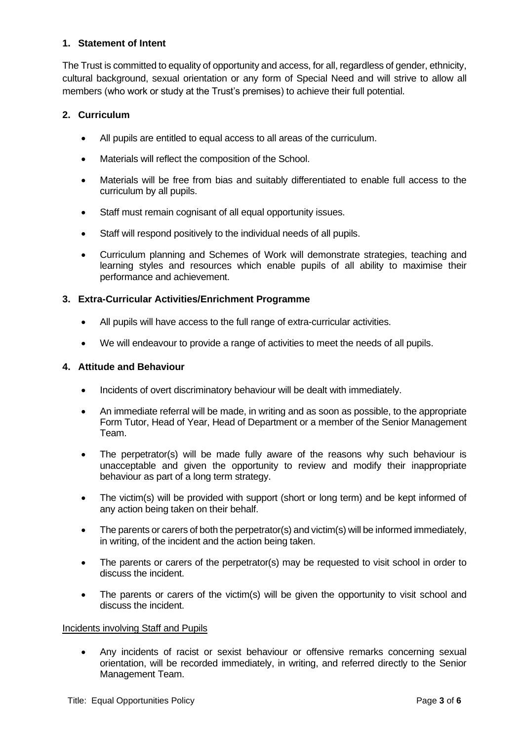#### <span id="page-2-0"></span>**1. Statement of Intent**

The Trust is committed to equality of opportunity and access, for all, regardless of gender, ethnicity, cultural background, sexual orientation or any form of Special Need and will strive to allow all members (who work or study at the Trust's premises) to achieve their full potential.

#### <span id="page-2-1"></span>**2. Curriculum**

- All pupils are entitled to equal access to all areas of the curriculum.
- Materials will reflect the composition of the School.
- Materials will be free from bias and suitably differentiated to enable full access to the curriculum by all pupils.
- Staff must remain cognisant of all equal opportunity issues.
- Staff will respond positively to the individual needs of all pupils.
- Curriculum planning and Schemes of Work will demonstrate strategies, teaching and learning styles and resources which enable pupils of all ability to maximise their performance and achievement.

#### <span id="page-2-2"></span>**3. Extra-Curricular Activities/Enrichment Programme**

- All pupils will have access to the full range of extra-curricular activities.
- We will endeavour to provide a range of activities to meet the needs of all pupils.

#### <span id="page-2-3"></span>**4. Attitude and Behaviour**

- Incidents of overt discriminatory behaviour will be dealt with immediately.
- An immediate referral will be made, in writing and as soon as possible, to the appropriate Form Tutor, Head of Year, Head of Department or a member of the Senior Management Team.
- The perpetrator(s) will be made fully aware of the reasons why such behaviour is unacceptable and given the opportunity to review and modify their inappropriate behaviour as part of a long term strategy.
- The victim(s) will be provided with support (short or long term) and be kept informed of any action being taken on their behalf.
- The parents or carers of both the perpetrator(s) and victim(s) will be informed immediately, in writing, of the incident and the action being taken.
- The parents or carers of the perpetrator(s) may be requested to visit school in order to discuss the incident.
- The parents or carers of the victim(s) will be given the opportunity to visit school and discuss the incident.

#### Incidents involving Staff and Pupils

• Any incidents of racist or sexist behaviour or offensive remarks concerning sexual orientation, will be recorded immediately, in writing, and referred directly to the Senior Management Team.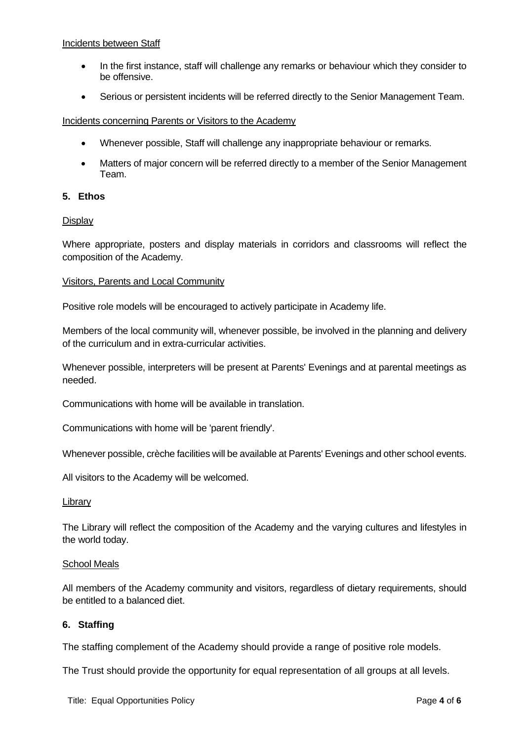#### Incidents between Staff

- In the first instance, staff will challenge any remarks or behaviour which they consider to be offensive.
- Serious or persistent incidents will be referred directly to the Senior Management Team.

#### Incidents concerning Parents or Visitors to the Academy

- Whenever possible, Staff will challenge any inappropriate behaviour or remarks.
- Matters of major concern will be referred directly to a member of the Senior Management Team.

#### <span id="page-3-0"></span>**5. Ethos**

#### **Display**

Where appropriate, posters and display materials in corridors and classrooms will reflect the composition of the Academy.

#### Visitors, Parents and Local Community

Positive role models will be encouraged to actively participate in Academy life.

Members of the local community will, whenever possible, be involved in the planning and delivery of the curriculum and in extra-curricular activities.

Whenever possible, interpreters will be present at Parents' Evenings and at parental meetings as needed.

Communications with home will be available in translation.

Communications with home will be 'parent friendly'.

Whenever possible, crèche facilities will be available at Parents' Evenings and other school events.

All visitors to the Academy will be welcomed.

#### Library

The Library will reflect the composition of the Academy and the varying cultures and lifestyles in the world today.

#### School Meals

All members of the Academy community and visitors, regardless of dietary requirements, should be entitled to a balanced diet.

#### <span id="page-3-1"></span>**6. Staffing**

The staffing complement of the Academy should provide a range of positive role models.

The Trust should provide the opportunity for equal representation of all groups at all levels.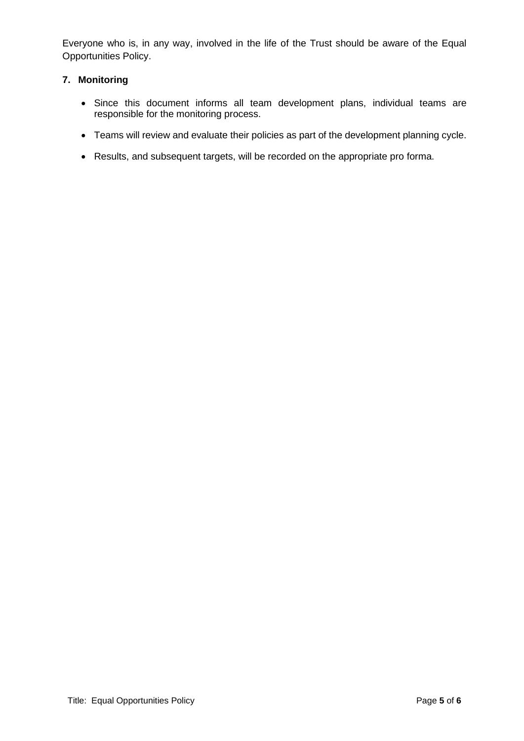Everyone who is, in any way, involved in the life of the Trust should be aware of the Equal Opportunities Policy.

#### <span id="page-4-0"></span>**7. Monitoring**

- Since this document informs all team development plans, individual teams are responsible for the monitoring process.
- Teams will review and evaluate their policies as part of the development planning cycle.
- Results, and subsequent targets, will be recorded on the appropriate pro forma.